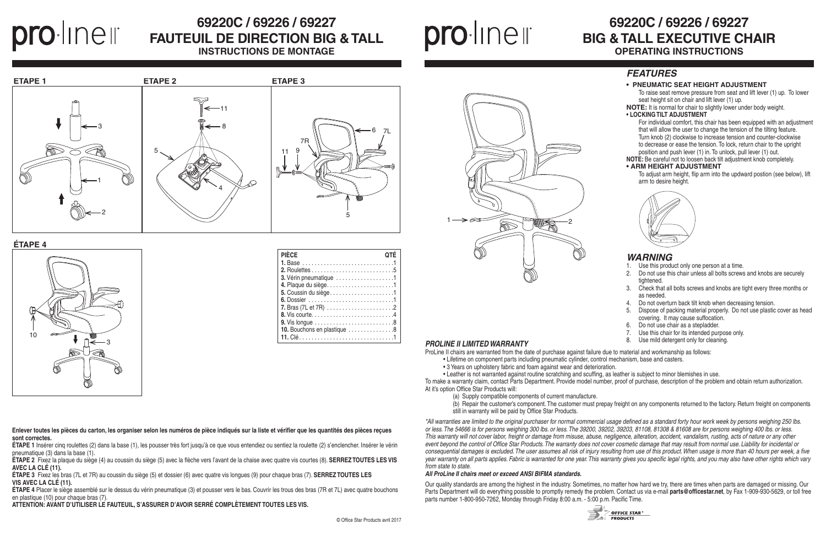**Enlever toutes les pièces du carton, les organiser selon les numéros de pièce indiqués sur la liste et vérifier que les quantités des pièces reçues sont correctes.**

**ÉTAPE 1** Insérer cinq roulettes (2) dans la base (1), les pousser très fort jusqu'à ce que vous entendiez ou sentiez la roulette (2) s'enclencher. Insérer le vérin pneumatique (3) dans la base (1).

**ÉTAPE 2** Fixez la plaque du siège (4) au coussin du siège (5) avec la flèche vers l'avant de la chaise avec quatre vis courtes (8). **SERREZ TOUTES LES VIS AVEC LA CLÉ (11).**

**ÉTAPE 3** Fixez les bras (7L et 7R) au coussin du siège (5) et dossier (6) avec quatre vis longues (9) pour chaque bras (7). **SERREZ TOUTES LES VIS AVEC LA CLÉ (11).**

**ÉTAPE 4** Placer le siège assemblé sur le dessus du vérin pneumatique (3) et pousser vers le bas. Couvrir les trous des bras (7R et 7L) avec quatre bouchons en plastique (10) pour chaque bras (7).

**ATTENTION: AVANT D'UTILISER LE FAUTEUIL, S'ASSURER D'AVOIR SERRÉ COMPLÈTEMENT TOUTES LES VIS.**

## **69220C / 69226 / 69227 BIG & TALL EXECUTIVE CHAIR OPERATING INSTRUCTIONS**

1 2

# O·line li

## **69220C / 69226 / 69227 FAUTEUIL DE DIRECTION BIG & TALL INSTRUCTIONS DE MONTAGE**

## proliner

#### **ÉTAPE 4**

- 1. Use this product only one person at a time.
- 2. Do not use this chair unless all bolts screws and knobs are securely tightened.
- 3. Check that all bolts screws and knobs are tight every three months or as needed.
- Do not overturn back tilt knob when decreasing tension.
- 5. Dispose of packing material properly. Do not use plastic cover as head covering. It may cause suffocation.
- 6. Do not use chair as a stepladder.
- 7. Use this chair for its intended purpose only.<br>8. Use mild detergent only for cleaning.
- 

| <b>PIÈCE</b>                                                              |
|---------------------------------------------------------------------------|
|                                                                           |
|                                                                           |
| 3. Vérin pneumatique 1                                                    |
| 4. Plaque du siège1                                                       |
| 5. Coussin du siège1                                                      |
|                                                                           |
|                                                                           |
|                                                                           |
| 9. Vis longue $\ldots \ldots \ldots \ldots \ldots \ldots \ldots \ldots 8$ |
| 10. Bouchons en plastique 8                                               |
|                                                                           |

#### **PROLINE II LIMITED WARRANTY**





#### *FEATURES*

#### **• PNEUMATIC SEAT HEIGHT ADJUSTMENT**

To raise seat remove pressure from seat and lift lever (1) up. To lower seat height sit on chair and lift lever (1) up.

**NOTE:** It is normal for chair to slightly lower under body weight.

#### **• LOCKING TILT ADJUSTMENT**

For individual comfort, this chair has been equipped with an adjustment that will allow the user to change the tension of the tilting feature. Turn knob (2) clockwise to increase tension and counter-clockwise to decrease or ease the tension. To lock, return chair to the upright position and push lever (1) in. To unlock, pull lever (1) out.

**NOTE:** Be careful not to loosen back tilt adjustment knob completely.

#### **• ARM HEIGHT ADJUSTMENT**

To adjust arm height, flip arm into the updward postion (see below), lift arm to desire height.



#### *WARNING*

ProLine II chairs are warranted from the date of purchase against failure due to material and workmanship as follows:

- Lifetime on component parts including pneumatic cylinder, control mechanism, base and casters.
- 3 Years on upholstery fabric and foam against wear and deterioration.

• Leather is not warranted against routine scratching and scuffing, as leather is subject to minor blemishes in use.

To make a warranty claim, contact Parts Department. Provide model number, proof of purchase, description of the problem and obtain return authorization. At it's option Office Star Products will:

- (a) Supply compatible components of current manufacture.
- 
- still in warranty will be paid by Office Star Products.

(b) Repair the customer's component. The customer must prepay freight on any components returned to the factory. Return freight on components

**OFFICE STAR PRODUCTS** 

*\*All warranties are limited to the original purchaser for normal commercial usage defined as a standard forty hour work week by persons weighing 250 lbs. or less. The 54666 is for persons weighing 300 lbs. or less. The 39200, 39202, 39203, 81108, 81308 & 81608 are for persons weighing 400 lbs. or less. This warranty will not cover labor, freight or damage from misuse, abuse, negligence, alteration, accident, vandalism, rusting, acts of nature or any other event beyond the control of Office Star Products. The warranty does not cover cosmetic damage that may result from normal use. Liability for incidental or consequential damages is excluded. The user assumes all risk of injury resulting from use of this product. When usage is more than 40 hours per week, a five year warranty on all parts applies. Fabric is warranted for one year. This warranty gives you specific legal rights, and you may also have other rights which vary from state to state.*

#### *All ProLine II chairs meet or exceed ANSI BIFMA standards.*

Our quality standards are among the highest in the industry. Sometimes, no matter how hard we try, there are times when parts are damaged or missing. Our Parts Department will do everything possible to promptly remedy the problem. Contact us via e-mail **parts@officestar.net**, by Fax 1-909-930-5629, or toll free parts number 1-800-950-7262, Monday through Friday 8:00 a.m. - 5:00 p.m. Pacific Time.